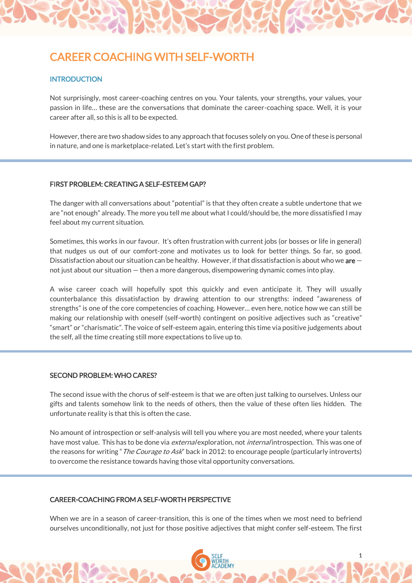# CAREER COACHING WITH SELF-WORTH

## **INTRODUCTION**

Not surprisingly, most career-coaching centres on you. Your talents, your strengths, your values, your passion in life… these are the conversations that dominate the career-coaching space. Well, it is your career after all, so this is all to be expected.

However, there are two shadow sides to any approach that focuses solely on you. One of these is personal in nature, and one is marketplace-related. Let's start with the first problem.

#### FIRST PROBLEM: CREATING A SELF-ESTEEM GAP?

The danger with all conversations about "potential" is that they often create a subtle undertone that we are "not enough" already. The more you tell me about what I could/should be, the more dissatisfied I may feel about my current situation.

Sometimes, this works in our favour. It's often frustration with current jobs (or bosses or life in general) that nudges us out of our comfort-zone and motivates us to look for better things. So far, so good. Dissatisfaction about our situation can be healthy. However, if that dissatisfaction is about who we are  $$ not just about our situation — then a more dangerous, disempowering dynamic comes into play.

A wise career coach will hopefully spot this quickly and even anticipate it. They will usually counterbalance this dissatisfaction by drawing attention to our strengths: indeed "awareness of strengths" is one of the core competencies of coaching. However… even here, notice how we can still be making our relationship with oneself (self-worth) contingent on positive adjectives such as "creative" "smart" or "charismatic". The voice of self-esteem again, entering this time via positive judgements about the self, all the time creating still more expectations to live up to.

## SECOND PROBLEM: WHO CARES?

The second issue with the chorus of self-esteem is that we are often just talking to ourselves. Unless our gifts and talents somehow link to the needs of others, then the value of these often lies hidden. The unfortunate reality is that this is often the case.

No amount of introspection or self-analysis will tell you where you are most needed, where your talents have most value. This has to be done via external exploration, not internal introspection. This was one of the reasons for writing "*The Courage to Ask*" back in 2012: to encourage people (particularly introverts) to overcome the resistance towards having those vital opportunity conversations.

#### CAREER-COACHING FROM A SELF-WORTH PERSPECTIVE

When we are in a season of career-transition, this is one of the times when we most need to befriend ourselves unconditionally, not just for those positive adjectives that might confer self-esteem. The first

1